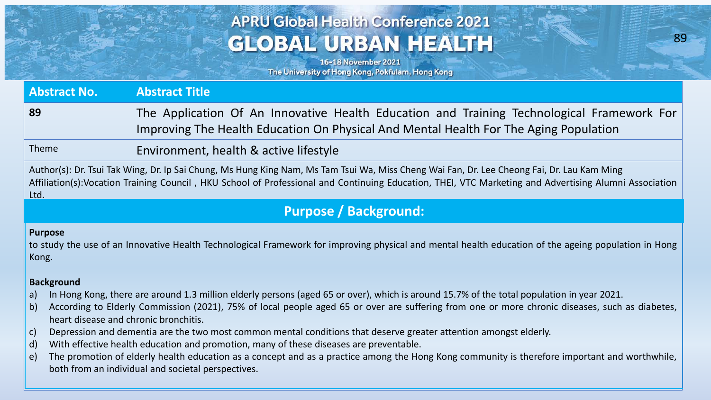# **APRU Global Health Conference 2021 GLOBAL URBAN HEALTH**

89

**Age American** 

16-18 November 2021 The University of Hong Kong, Pokfulam, Hong Kong

**Abstract No. Abstract Title 89** The Application Of An Innovative Health Education and Training Technological Framework For Improving The Health Education On Physical And Mental Health For The Aging Population Theme Environment, health & active lifestyle

Author(s): Dr. Tsui Tak Wing, Dr. Ip Sai Chung, Ms Hung King Nam, Ms Tam Tsui Wa, Miss Cheng Wai Fan, Dr. Lee Cheong Fai, Dr. Lau Kam Ming Affiliation(s):Vocation Training Council , HKU School of Professional and Continuing Education, THEI, VTC Marketing and Advertising Alumni Association Ltd.

## **Purpose / Background:**

#### **Purpose**

to study the use of an Innovative Health Technological Framework for improving physical and mental health education of the ageing population in Hong Kong.

### **Background**

- a) In Hong Kong, there are around 1.3 million elderly persons (aged 65 or over), which is around 15.7% of the total population in year 2021.
- b) According to Elderly Commission (2021), 75% of local people aged 65 or over are suffering from one or more chronic diseases, such as diabetes, heart disease and chronic bronchitis.
- c) Depression and dementia are the two most common mental conditions that deserve greater attention amongst elderly.
- d) With effective health education and promotion, many of these diseases are preventable.
- e) The promotion of elderly health education as a concept and as a practice among the Hong Kong community is therefore important and worthwhile, both from an individual and societal perspectives.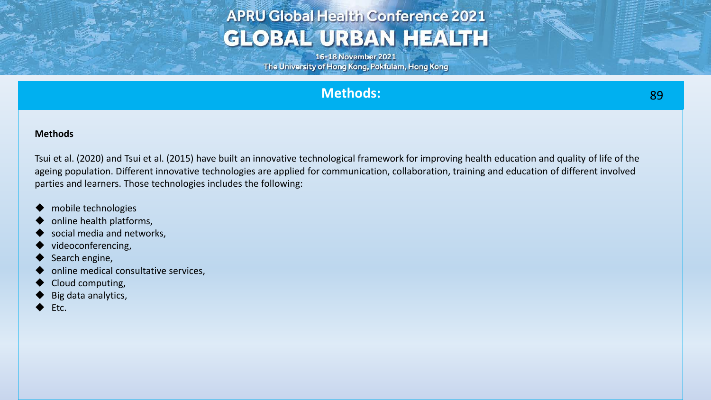# **APRU Global Health Conference 2021 GLOBAL URBAN HEALTH**

16-18 November 2021 The University of Hong Kong, Pokfulam, Hong Kong

## **Methods:**

Tsui et al. (2020) and Tsui et al. (2015) have built an innovative technological framework for improving health education and quality of life of the ageing population. Different innovative technologies are applied for communication, collaboration, training and education of different involved parties and learners. Those technologies includes the following:

- mobile technologies
- online health platforms,
- social media and networks,
- videoconferencing,
- Search engine,
- online medical consultative services,
- Cloud computing,
- Big data analytics,
- Etc.

**Allen MacAllin**